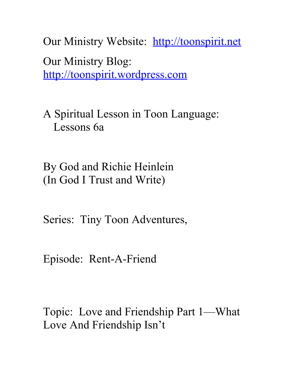Our Ministry Website: [http://toonspirit.net](http://toonspirit.net/) Our Ministry Blog: [http://toonspirit.wordpress.com](http://toonspirit.wordpress.com/)

A Spiritual Lesson in Toon Language: Lessons 6a

By God and Richie Heinlein (In God I Trust and Write)

Series: Tiny Toon Adventures,

Episode: Rent-A-Friend

Topic: Love and Friendship Part 1—What Love And Friendship Isn't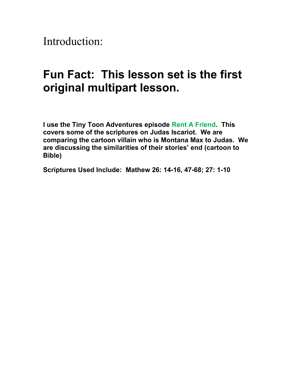Introduction:

## **Fun Fact: This lesson set is the first original multipart lesson.**

**I use the Tiny Toon Adventures episode Rent A Friend. This covers some of the scriptures on Judas Iscariot. We are comparing the cartoon villain who is Montana Max to Judas. We are discussing the similarities of their stories' end (cartoon to Bible)**

**Scriptures Used Include: Mathew 26: 14-16, 47-68; 27: 1-10**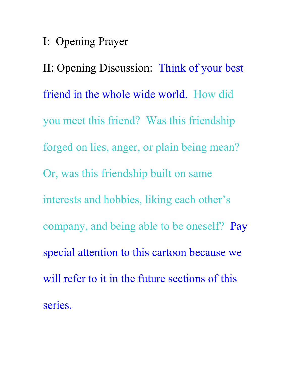## I: Opening Prayer

II: Opening Discussion: Think of your best friend in the whole wide world. How did you meet this friend? Was this friendship forged on lies, anger, or plain being mean? Or, was this friendship built on same interests and hobbies, liking each other's company, and being able to be oneself? Pay special attention to this cartoon because we will refer to it in the future sections of this series.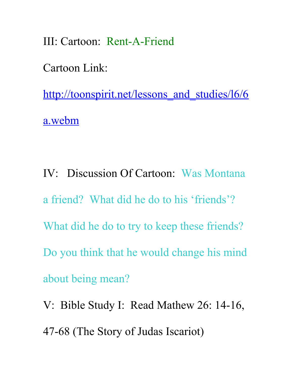III: Cartoon: Rent-A-Friend

Cartoon Link:

http://toonspirit.net/lessons and studies/16/6 [a.webm](http://toonspirit.net/lessons_and_studies/l6/6a.webm)

IV: Discussion Of Cartoon: Was Montana a friend? What did he do to his 'friends'? What did he do to try to keep these friends? Do you think that he would change his mind about being mean?

V: Bible Study I: Read Mathew 26: 14-16, 47-68 (The Story of Judas Iscariot)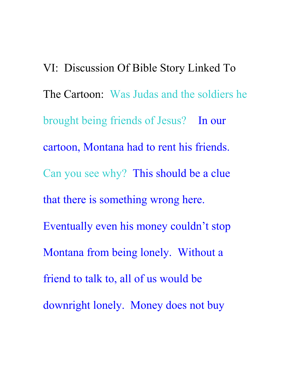VI: Discussion Of Bible Story Linked To The Cartoon: Was Judas and the soldiers he brought being friends of Jesus? In our cartoon, Montana had to rent his friends. Can you see why? This should be a clue that there is something wrong here. Eventually even his money couldn't stop Montana from being lonely. Without a friend to talk to, all of us would be downright lonely. Money does not buy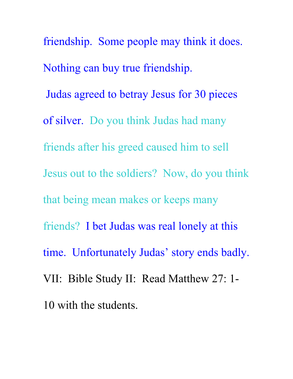friendship. Some people may think it does. Nothing can buy true friendship. Judas agreed to betray Jesus for 30 pieces of silver. Do you think Judas had many friends after his greed caused him to sell Jesus out to the soldiers? Now, do you think that being mean makes or keeps many friends? I bet Judas was real lonely at this time. Unfortunately Judas' story ends badly. VII: Bible Study II: Read Matthew 27: 1- 10 with the students.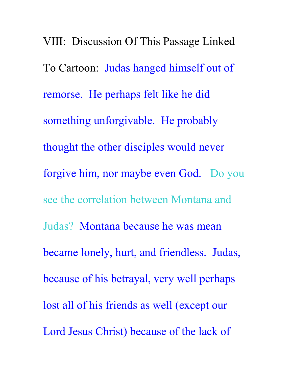VIII: Discussion Of This Passage Linked To Cartoon: Judas hanged himself out of remorse. He perhaps felt like he did something unforgivable. He probably thought the other disciples would never forgive him, nor maybe even God. Do you see the correlation between Montana and Judas? Montana because he was mean became lonely, hurt, and friendless. Judas, because of his betrayal, very well perhaps lost all of his friends as well (except our Lord Jesus Christ) because of the lack of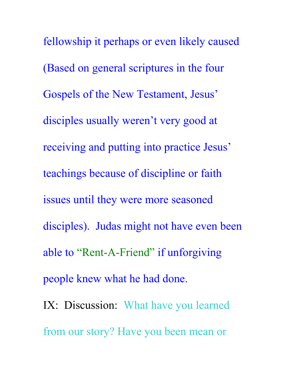fellowship it perhaps or even likely caused (Based on general scriptures in the four Gospels of the New Testament, Jesus' disciples usually weren't very good at receiving and putting into practice Jesus' teachings because of discipline or faith issues until they were more seasoned disciples). Judas might not have even been able to "Rent-A-Friend" if unforgiving people knew what he had done.

IX: Discussion: What have you learned from our story? Have you been mean or